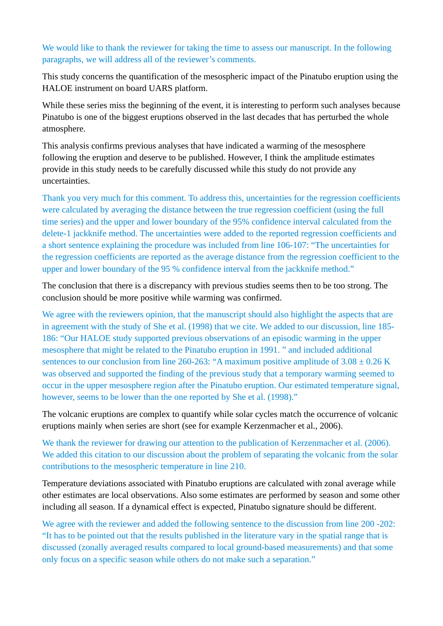We would like to thank the reviewer for taking the time to assess our manuscript. In the following paragraphs, we will address all of the reviewer's comments.

This study concerns the quantification of the mesospheric impact of the Pinatubo eruption using the HALOE instrument on board UARS platform.

While these series miss the beginning of the event, it is interesting to perform such analyses because Pinatubo is one of the biggest eruptions observed in the last decades that has perturbed the whole atmosphere.

This analysis confirms previous analyses that have indicated a warming of the mesosphere following the eruption and deserve to be published. However, I think the amplitude estimates provide in this study needs to be carefully discussed while this study do not provide any uncertainties.

Thank you very much for this comment. To address this, uncertainties for the regression coefficients were calculated by averaging the distance between the true regression coefficient (using the full time series) and the upper and lower boundary of the 95% confidence interval calculated from the delete-1 jackknife method. The uncertainties were added to the reported regression coefficients and a short sentence explaining the procedure was included from line 106-107: "The uncertainties for the regression coefficients are reported as the average distance from the regression coefficient to the upper and lower boundary of the 95 % confidence interval from the jackknife method."

The conclusion that there is a discrepancy with previous studies seems then to be too strong. The conclusion should be more positive while warming was confirmed.

We agree with the reviewers opinion, that the manuscript should also highlight the aspects that are in agreement with the study of She et al. (1998) that we cite. We added to our discussion, line 185- 186: "Our HALOE study supported previous observations of an episodic warming in the upper mesosphere that might be related to the Pinatubo eruption in 1991. " and included additional sentences to our conclusion from line 260-263: "A maximum positive amplitude of  $3.08 \pm 0.26$  K was observed and supported the finding of the previous study that a temporary warming seemed to occur in the upper mesosphere region after the Pinatubo eruption. Our estimated temperature signal, however, seems to be lower than the one reported by She et al. (1998)."

The volcanic eruptions are complex to quantify while solar cycles match the occurrence of volcanic eruptions mainly when series are short (see for example Kerzenmacher et al., 2006).

We thank the reviewer for drawing our attention to the publication of Kerzenmacher et al. (2006). We added this citation to our discussion about the problem of separating the volcanic from the solar contributions to the mesospheric temperature in line 210.

Temperature deviations associated with Pinatubo eruptions are calculated with zonal average while other estimates are local observations. Also some estimates are performed by season and some other including all season. If a dynamical effect is expected, Pinatubo signature should be different.

We agree with the reviewer and added the following sentence to the discussion from line 200 -202: "It has to be pointed out that the results published in the literature vary in the spatial range that is discussed (zonally averaged results compared to local ground-based measurements) and that some only focus on a specific season while others do not make such a separation."